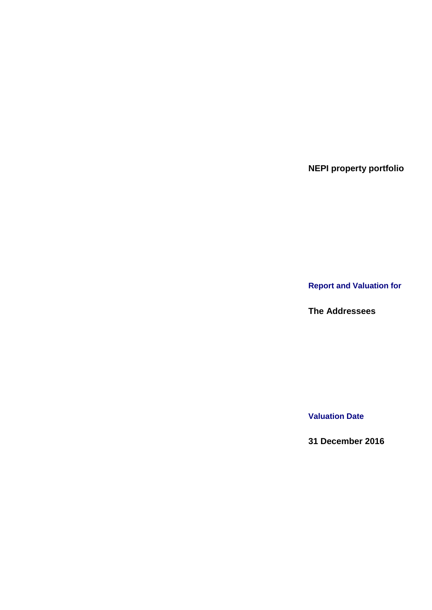**NEPI property portfolio**

**Report and Valuation for**

**The Addressees**

**Valuation Date**

**31 December 2016**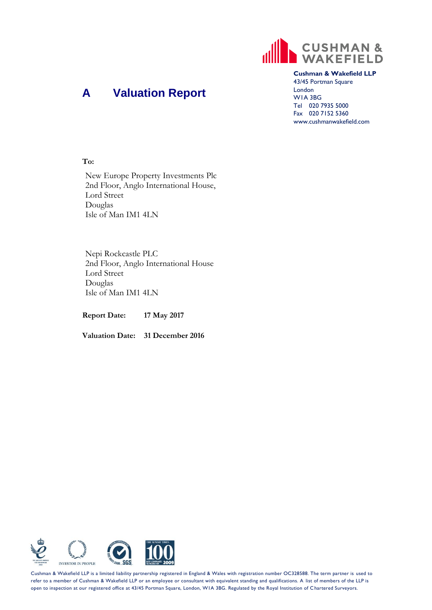

## **Cushman & Wakefield LLP**

43/45 Portman Square London W1A 3BG Tel 020 7935 5000 Fax 020 7152 5360 www.cushmanwakefield.com

# **A Valuation Report**

## **To:**

New Europe Property Investments Plc 2nd Floor, Anglo International House, Lord Street Douglas Isle of Man IM1 4LN

Nepi Rockcastle PLC 2nd Floor, Anglo International House Lord Street Douglas Isle of Man IM1 4LN

**Report Date: 17 May 2017**

**Valuation Date: 31 December 2016**



Cushman & Wakefield LLP is a limited liability partnership registered in England & Wales with registration number OC328588. The term partner is used to refer to a member of Cushman & Wakefield LLP or an employee or consultant with equivalent standing and qualifications. A list of members of the LLP is open to inspection at our registered office at 43/45 Portman Square, London, W1A 3BG. Regulated by the Royal Institution of C hartered Surveyors.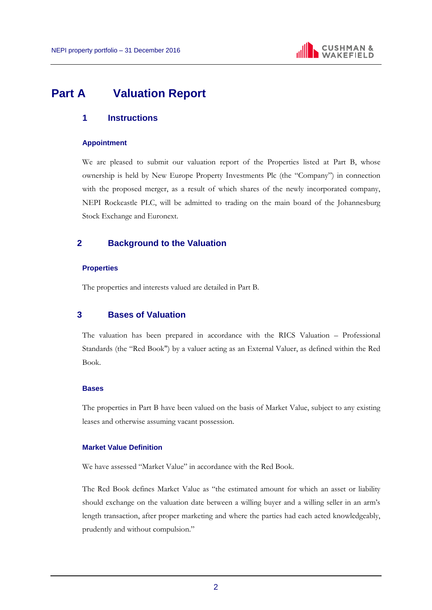

# **Part A Valuation Report**

## **1 Instructions**

#### **Appointment**

We are pleased to submit our valuation report of the Properties listed at Part B, whose ownership is held by New Europe Property Investments Plc (the "Company") in connection with the proposed merger, as a result of which shares of the newly incorporated company, NEPI Rockcastle PLC, will be admitted to trading on the main board of the Johannesburg Stock Exchange and Euronext.

## **2 Background to the Valuation**

#### **Properties**

The properties and interests valued are detailed in Part B.

## **3 Bases of Valuation**

The valuation has been prepared in accordance with the RICS Valuation – Professional Standards (the "Red Book") by a valuer acting as an External Valuer, as defined within the Red Book.

## **Bases**

The properties in Part B have been valued on the basis of Market Value, subject to any existing leases and otherwise assuming vacant possession.

## **Market Value Definition**

We have assessed "Market Value" in accordance with the Red Book.

The Red Book defines Market Value as "the estimated amount for which an asset or liability should exchange on the valuation date between a willing buyer and a willing seller in an arm's length transaction, after proper marketing and where the parties had each acted knowledgeably, prudently and without compulsion."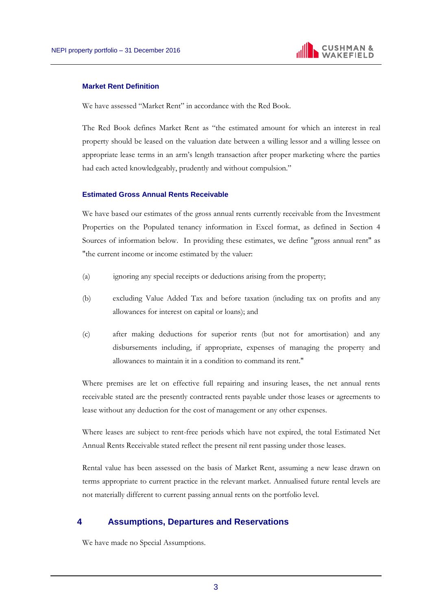

#### **Market Rent Definition**

We have assessed "Market Rent" in accordance with the Red Book.

The Red Book defines Market Rent as "the estimated amount for which an interest in real property should be leased on the valuation date between a willing lessor and a willing lessee on appropriate lease terms in an arm's length transaction after proper marketing where the parties had each acted knowledgeably, prudently and without compulsion."

#### **Estimated Gross Annual Rents Receivable**

We have based our estimates of the gross annual rents currently receivable from the Investment Properties on the Populated tenancy information in Excel format, as defined in Section 4 Sources of information below. In providing these estimates, we define "gross annual rent" as "the current income or income estimated by the valuer:

- (a) ignoring any special receipts or deductions arising from the property;
- (b) excluding Value Added Tax and before taxation (including tax on profits and any allowances for interest on capital or loans); and
- (c) after making deductions for superior rents (but not for amortisation) and any disbursements including, if appropriate, expenses of managing the property and allowances to maintain it in a condition to command its rent."

Where premises are let on effective full repairing and insuring leases, the net annual rents receivable stated are the presently contracted rents payable under those leases or agreements to lease without any deduction for the cost of management or any other expenses.

Where leases are subject to rent-free periods which have not expired, the total Estimated Net Annual Rents Receivable stated reflect the present nil rent passing under those leases.

Rental value has been assessed on the basis of Market Rent, assuming a new lease drawn on terms appropriate to current practice in the relevant market. Annualised future rental levels are not materially different to current passing annual rents on the portfolio level.

## **4 Assumptions, Departures and Reservations**

We have made no Special Assumptions.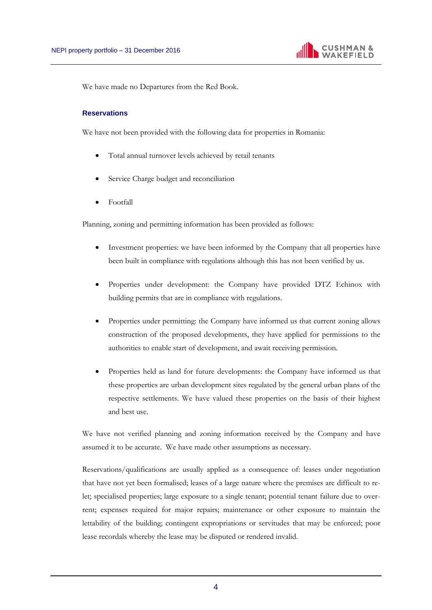We have made no Departures from the Red Book.

## **Reservations**

We have not been provided with the following data for properties in Romania:

- Total annual turnover levels achieved by retail tenants
- Service Charge budget and reconciliation
- Footfall

Planning, zoning and permitting information has been provided as follows:

- Investment properties: we have been informed by the Company that all properties have been built in compliance with regulations although this has not been verified by us.
- Properties under development: the Company have provided DTZ Echinox with building permits that are in compliance with regulations.
- Properties under permitting: the Company have informed us that current zoning allows construction of the proposed developments, they have applied for permissions to the authorities to enable start of development, and await receiving permission.
- Properties held as land for future developments: the Company have informed us that these properties are urban development sites regulated by the general urban plans of the respective settlements. We have valued these properties on the basis of their highest and best use.

We have not verified planning and zoning information received by the Company and have assumed it to be accurate. We have made other assumptions as necessary.

Reservations/qualifications are usually applied as a consequence of: leases under negotiation that have not yet been formalised; leases of a large nature where the premises are difficult to relet; specialised properties; large exposure to a single tenant; potential tenant failure due to overrent; expenses required for major repairs; maintenance or other exposure to maintain the lettability of the building; contingent expropriations or servitudes that may be enforced; poor lease recordals whereby the lease may be disputed or rendered invalid.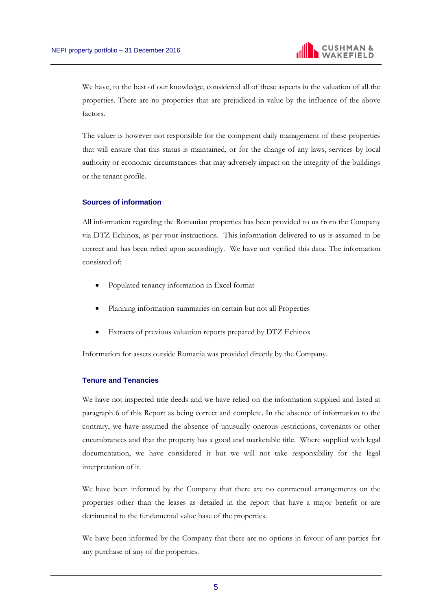We have, to the best of our knowledge, considered all of these aspects in the valuation of all the properties. There are no properties that are prejudiced in value by the influence of the above factors.

The valuer is however not responsible for the competent daily management of these properties that will ensure that this status is maintained, or for the change of any laws, services by local authority or economic circumstances that may adversely impact on the integrity of the buildings or the tenant profile.

## **Sources of information**

All information regarding the Romanian properties has been provided to us from the Company via DTZ Echinox, as per your instructions. This information delivered to us is assumed to be correct and has been relied upon accordingly. We have not verified this data. The information consisted of:

- Populated tenancy information in Excel format
- Planning information summaries on certain but not all Properties
- Extracts of previous valuation reports prepared by DTZ Echinox

Information for assets outside Romania was provided directly by the Company.

#### **Tenure and Tenancies**

We have not inspected title deeds and we have relied on the information supplied and listed at paragraph 6 of this Report as being correct and complete. In the absence of information to the contrary, we have assumed the absence of unusually onerous restrictions, covenants or other encumbrances and that the property has a good and marketable title. Where supplied with legal documentation, we have considered it but we will not take responsibility for the legal interpretation of it.

We have been informed by the Company that there are no contractual arrangements on the properties other than the leases as detailed in the report that have a major benefit or are detrimental to the fundamental value base of the properties.

We have been informed by the Company that there are no options in favour of any parties for any purchase of any of the properties.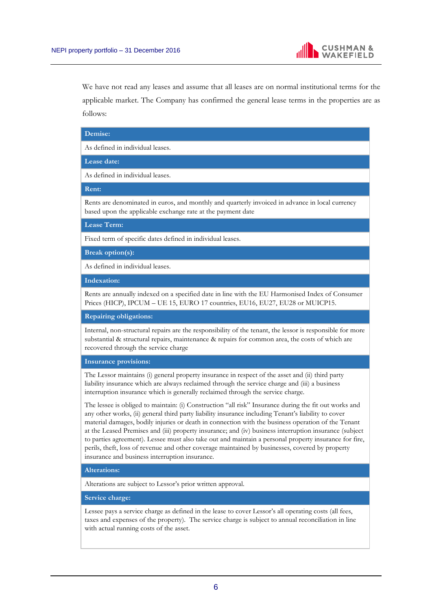

We have not read any leases and assume that all leases are on normal institutional terms for the applicable market. The Company has confirmed the general lease terms in the properties are as follows:

#### **Demise:**

As defined in individual leases.

**Lease date:**

As defined in individual leases.

**Rent:**

Rents are denominated in euros, and monthly and quarterly invoiced in advance in local currency based upon the applicable exchange rate at the payment date

**Lease Term:**

Fixed term of specific dates defined in individual leases.

**Break option(s):**

As defined in individual leases.

**Indexation:**

Rents are annually indexed on a specified date in line with the EU Harmonised Index of Consumer Prices (HICP), IPCUM – UE 15, EURO 17 countries, EU16, EU27, EU28 or MUICP15.

**Repairing obligations:**

Internal, non-structural repairs are the responsibility of the tenant, the lessor is responsible for more substantial & structural repairs, maintenance & repairs for common area, the costs of which are recovered through the service charge

**Insurance provisions:**

The Lessor maintains (i) general property insurance in respect of the asset and (ii) third party liability insurance which are always reclaimed through the service charge and (iii) a business interruption insurance which is generally reclaimed through the service charge.

The lessee is obliged to maintain: (i) Construction "all risk" Insurance during the fit out works and any other works, (ii) general third party liability insurance including Tenant's liability to cover material damages, bodily injuries or death in connection with the business operation of the Tenant at the Leased Premises and (iii) property insurance; and (iv) business interruption insurance (subject to parties agreement). Lessee must also take out and maintain a personal property insurance for fire, perils, theft, loss of revenue and other coverage maintained by businesses, covered by property insurance and business interruption insurance.

#### **Alterations:**

Alterations are subject to Lessor's prior written approval.

**Service charge:**

Lessee pays a service charge as defined in the lease to cover Lessor's all operating costs (all fees, taxes and expenses of the property). The service charge is subject to annual reconciliation in line with actual running costs of the asset.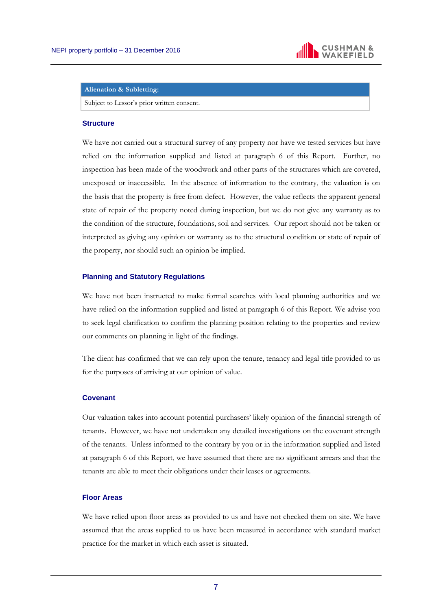

#### **Alienation & Subletting:**

Subject to Lessor's prior written consent.

## **Structure**

We have not carried out a structural survey of any property nor have we tested services but have relied on the information supplied and listed at paragraph 6 of this Report. Further, no inspection has been made of the woodwork and other parts of the structures which are covered, unexposed or inaccessible. In the absence of information to the contrary, the valuation is on the basis that the property is free from defect. However, the value reflects the apparent general state of repair of the property noted during inspection, but we do not give any warranty as to the condition of the structure, foundations, soil and services. Our report should not be taken or interpreted as giving any opinion or warranty as to the structural condition or state of repair of the property, nor should such an opinion be implied.

#### **Planning and Statutory Regulations**

We have not been instructed to make formal searches with local planning authorities and we have relied on the information supplied and listed at paragraph 6 of this Report. We advise you to seek legal clarification to confirm the planning position relating to the properties and review our comments on planning in light of the findings.

The client has confirmed that we can rely upon the tenure, tenancy and legal title provided to us for the purposes of arriving at our opinion of value.

#### **Covenant**

Our valuation takes into account potential purchasers' likely opinion of the financial strength of tenants. However, we have not undertaken any detailed investigations on the covenant strength of the tenants. Unless informed to the contrary by you or in the information supplied and listed at paragraph 6 of this Report, we have assumed that there are no significant arrears and that the tenants are able to meet their obligations under their leases or agreements.

## **Floor Areas**

We have relied upon floor areas as provided to us and have not checked them on site. We have assumed that the areas supplied to us have been measured in accordance with standard market practice for the market in which each asset is situated.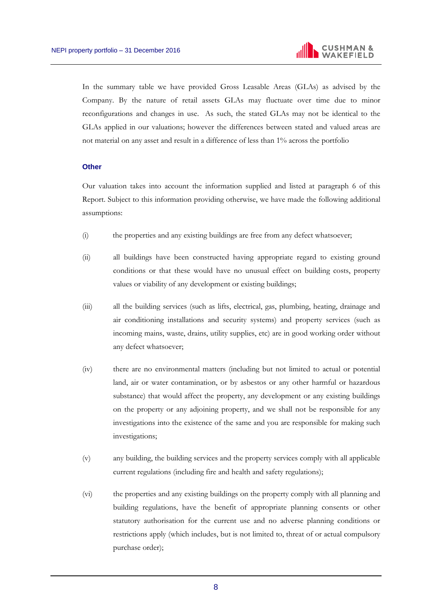In the summary table we have provided Gross Leasable Areas (GLAs) as advised by the Company. By the nature of retail assets GLAs may fluctuate over time due to minor reconfigurations and changes in use. As such, the stated GLAs may not be identical to the GLAs applied in our valuations; however the differences between stated and valued areas are not material on any asset and result in a difference of less than 1% across the portfolio

#### **Other**

Our valuation takes into account the information supplied and listed at paragraph 6 of this Report. Subject to this information providing otherwise, we have made the following additional assumptions:

- (i) the properties and any existing buildings are free from any defect whatsoever;
- (ii) all buildings have been constructed having appropriate regard to existing ground conditions or that these would have no unusual effect on building costs, property values or viability of any development or existing buildings;
- (iii) all the building services (such as lifts, electrical, gas, plumbing, heating, drainage and air conditioning installations and security systems) and property services (such as incoming mains, waste, drains, utility supplies, etc) are in good working order without any defect whatsoever;
- (iv) there are no environmental matters (including but not limited to actual or potential land, air or water contamination, or by asbestos or any other harmful or hazardous substance) that would affect the property, any development or any existing buildings on the property or any adjoining property, and we shall not be responsible for any investigations into the existence of the same and you are responsible for making such investigations;
- (v) any building, the building services and the property services comply with all applicable current regulations (including fire and health and safety regulations);
- (vi) the properties and any existing buildings on the property comply with all planning and building regulations, have the benefit of appropriate planning consents or other statutory authorisation for the current use and no adverse planning conditions or restrictions apply (which includes, but is not limited to, threat of or actual compulsory purchase order);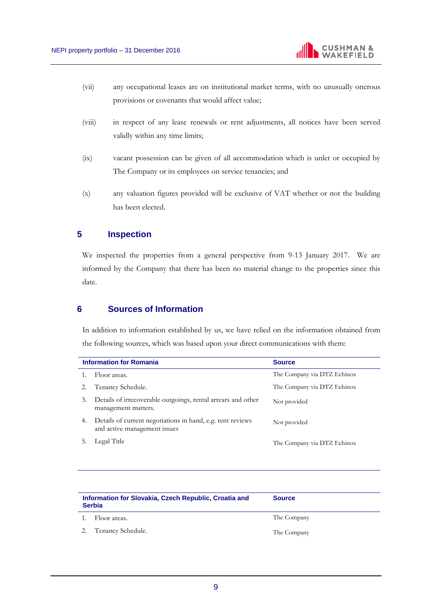

- (vii) any occupational leases are on institutional market terms, with no unusually onerous provisions or covenants that would affect value;
- (viii) in respect of any lease renewals or rent adjustments, all notices have been served validly within any time limits;
- (ix) vacant possession can be given of all accommodation which is unlet or occupied by The Company or its employees on service tenancies; and
- (x) any valuation figures provided will be exclusive of VAT whether or not the building has been elected.

# **5 Inspection**

We inspected the properties from a general perspective from 9-13 January 2017. We are informed by the Company that there has been no material change to the properties since this date.

# **6 Sources of Information**

In addition to information established by us, we have relied on the information obtained from the following sources, which was based upon your direct communications with them:

|    | <b>Information for Romania</b>                                                             | <b>Source</b>               |
|----|--------------------------------------------------------------------------------------------|-----------------------------|
|    | Floor areas.                                                                               | The Company via DTZ Echinox |
|    | Tenancy Schedule.                                                                          | The Company via DTZ Echinox |
| 3. | Details of irrecoverable outgoings, rental arrears and other<br>management matters.        | Not provided                |
| 4. | Details of current negotiations in hand, e.g. rent reviews<br>and active management issues | Not provided                |
|    | Legal Title                                                                                | The Company via DTZ Echinox |
|    |                                                                                            |                             |

| Information for Slovakia, Czech Republic, Croatia and<br><b>Serbia</b> | <b>Source</b> |
|------------------------------------------------------------------------|---------------|
| Floor areas.                                                           | The Company   |
| 2. Tenancy Schedule.                                                   | The Company   |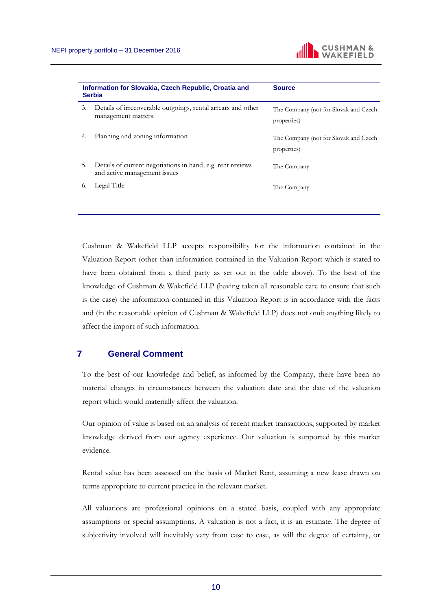

|    | Information for Slovakia, Czech Republic, Croatia and<br><b>Serbia</b>                     | <b>Source</b>                                        |
|----|--------------------------------------------------------------------------------------------|------------------------------------------------------|
| 3. | Details of irrecoverable outgoings, rental arrears and other<br>management matters.        | The Company (not for Slovak and Czech<br>properties) |
| 4. | Planning and zoning information                                                            | The Company (not for Slovak and Czech<br>properties) |
| 5. | Details of current negotiations in hand, e.g. rent reviews<br>and active management issues | The Company                                          |
| 6. | Legal Title                                                                                | The Company                                          |

Cushman & Wakefield LLP accepts responsibility for the information contained in the Valuation Report (other than information contained in the Valuation Report which is stated to have been obtained from a third party as set out in the table above). To the best of the knowledge of Cushman & Wakefield LLP (having taken all reasonable care to ensure that such is the case) the information contained in this Valuation Report is in accordance with the facts and (in the reasonable opinion of Cushman & Wakefield LLP) does not omit anything likely to affect the import of such information.

# **7 General Comment**

To the best of our knowledge and belief, as informed by the Company, there have been no material changes in circumstances between the valuation date and the date of the valuation report which would materially affect the valuation.

Our opinion of value is based on an analysis of recent market transactions, supported by market knowledge derived from our agency experience. Our valuation is supported by this market evidence.

Rental value has been assessed on the basis of Market Rent, assuming a new lease drawn on terms appropriate to current practice in the relevant market.

All valuations are professional opinions on a stated basis, coupled with any appropriate assumptions or special assumptions. A valuation is not a fact, it is an estimate. The degree of subjectivity involved will inevitably vary from case to case, as will the degree of certainty, or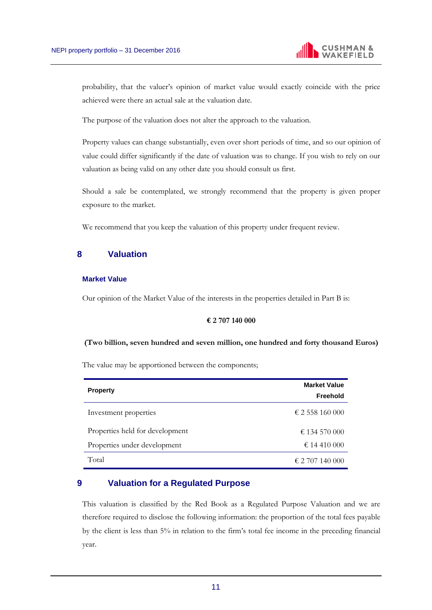probability, that the valuer's opinion of market value would exactly coincide with the price achieved were there an actual sale at the valuation date.

The purpose of the valuation does not alter the approach to the valuation.

Property values can change substantially, even over short periods of time, and so our opinion of value could differ significantly if the date of valuation was to change. If you wish to rely on our valuation as being valid on any other date you should consult us first.

Should a sale be contemplated, we strongly recommend that the property is given proper exposure to the market.

We recommend that you keep the valuation of this property under frequent review.

# **8 Valuation**

#### **Market Value**

Our opinion of the Market Value of the interests in the properties detailed in Part B is:

## **€ 2 707 140 000**

## **(Two billion, seven hundred and seven million, one hundred and forty thousand Euros)**

The value may be apportioned between the components;

|                                 | <b>Market Value</b>      |
|---------------------------------|--------------------------|
| <b>Property</b>                 | Freehold                 |
| Investment properties           | € 2 558 160 000          |
| Properties held for development | € 134 570 000            |
| Properties under development    | € 14 410 000             |
| Total                           | $\epsilon$ 2 707 140 000 |

## **9 Valuation for a Regulated Purpose**

This valuation is classified by the Red Book as a Regulated Purpose Valuation and we are therefore required to disclose the following information: the proportion of the total fees payable by the client is less than 5% in relation to the firm's total fee income in the preceding financial year.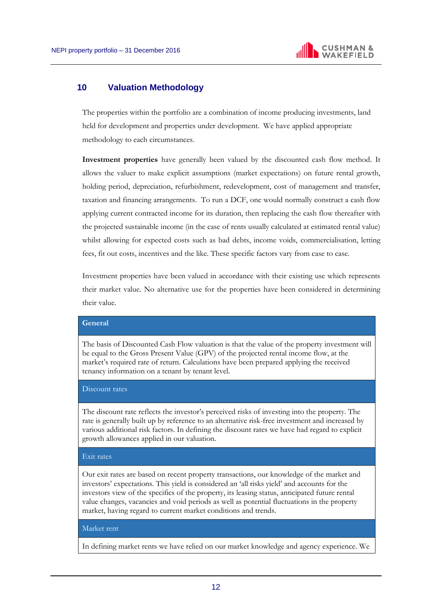

## **10 Valuation Methodology**

The properties within the portfolio are a combination of income producing investments, land held for development and properties under development. We have applied appropriate methodology to each circumstances.

**Investment properties** have generally been valued by the discounted cash flow method. It allows the valuer to make explicit assumptions (market expectations) on future rental growth, holding period, depreciation, refurbishment, redevelopment, cost of management and transfer, taxation and financing arrangements. To run a DCF, one would normally construct a cash flow applying current contracted income for its duration, then replacing the cash flow thereafter with the projected sustainable income (in the case of rents usually calculated at estimated rental value) whilst allowing for expected costs such as bad debts, income voids, commercialisation, letting fees, fit out costs, incentives and the like. These specific factors vary from case to case.

Investment properties have been valued in accordance with their existing use which represents their market value. No alternative use for the properties have been considered in determining their value.

## **General**

The basis of Discounted Cash Flow valuation is that the value of the property investment will be equal to the Gross Present Value (GPV) of the projected rental income flow, at the market's required rate of return. Calculations have been prepared applying the received tenancy information on a tenant by tenant level.

## Discount rates

The discount rate reflects the investor's perceived risks of investing into the property. The rate is generally built up by reference to an alternative risk-free investment and increased by various additional risk factors. In defining the discount rates we have had regard to explicit growth allowances applied in our valuation.

#### Exit rates

Our exit rates are based on recent property transactions, our knowledge of the market and investors' expectations. This yield is considered an 'all risks yield' and accounts for the investors view of the specifics of the property, its leasing status, anticipated future rental value changes, vacancies and void periods as well as potential fluctuations in the property market, having regard to current market conditions and trends.

## Market rent

In defining market rents we have relied on our market knowledge and agency experience. We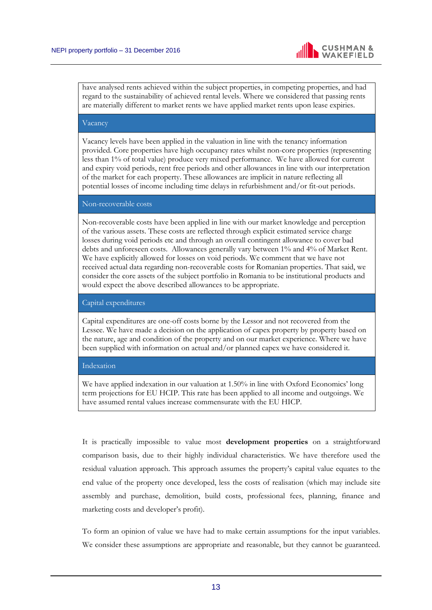

have analysed rents achieved within the subject properties, in competing properties, and had regard to the sustainability of achieved rental levels. Where we considered that passing rents are materially different to market rents we have applied market rents upon lease expiries.

#### Vacancy

Vacancy levels have been applied in the valuation in line with the tenancy information provided. Core properties have high occupancy rates whilst non-core properties (representing less than 1% of total value) produce very mixed performance. We have allowed for current and expiry void periods, rent free periods and other allowances in line with our interpretation of the market for each property. These allowances are implicit in nature reflecting all potential losses of income including time delays in refurbishment and/or fit-out periods.

## Non-recoverable costs

Non-recoverable costs have been applied in line with our market knowledge and perception of the various assets. These costs are reflected through explicit estimated service charge losses during void periods etc and through an overall contingent allowance to cover bad debts and unforeseen costs. Allowances generally vary between 1% and 4% of Market Rent. We have explicitly allowed for losses on void periods. We comment that we have not received actual data regarding non-recoverable costs for Romanian properties. That said, we consider the core assets of the subject portfolio in Romania to be institutional products and would expect the above described allowances to be appropriate.

#### Capital expenditures

Capital expenditures are one-off costs borne by the Lessor and not recovered from the Lessee. We have made a decision on the application of capex property by property based on the nature, age and condition of the property and on our market experience. Where we have been supplied with information on actual and/or planned capex we have considered it.

## Indexation

We have applied indexation in our valuation at 1.50% in line with Oxford Economics' long term projections for EU HCIP. This rate has been applied to all income and outgoings. We have assumed rental values increase commensurate with the EU HICP.

It is practically impossible to value most **development properties** on a straightforward comparison basis, due to their highly individual characteristics. We have therefore used the residual valuation approach. This approach assumes the property's capital value equates to the end value of the property once developed, less the costs of realisation (which may include site assembly and purchase, demolition, build costs, professional fees, planning, finance and marketing costs and developer's profit).

To form an opinion of value we have had to make certain assumptions for the input variables. We consider these assumptions are appropriate and reasonable, but they cannot be guaranteed.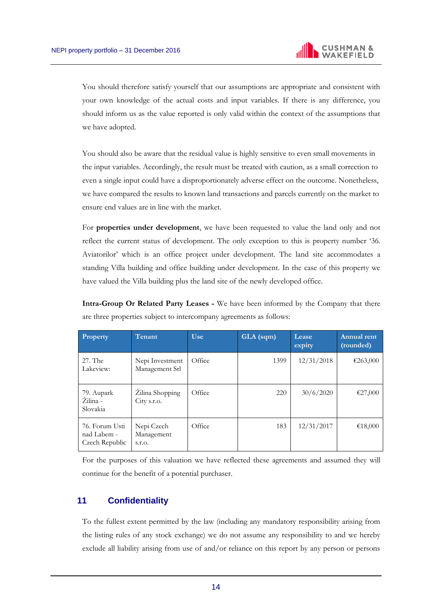You should therefore satisfy yourself that our assumptions are appropriate and consistent with your own knowledge of the actual costs and input variables. If there is any difference, you should inform us as the value reported is only valid within the context of the assumptions that we have adopted.

You should also be aware that the residual value is highly sensitive to even small movements in the input variables. Accordingly, the result must be treated with caution, as a small correction to even a single input could have a disproportionately adverse effect on the outcome. Nonetheless, we have compared the results to known land transactions and parcels currently on the market to ensure end values are in line with the market.

For **properties under development**, we have been requested to value the land only and not reflect the current status of development. The only exception to this is property number '36. Aviatorilor' which is an office project under development. The land site accommodates a standing Villa building and office building under development. In the case of this property we have valued the Villa building plus the land site of the newly developed office.

**Intra-Group Or Related Party Leases -** We have been informed by the Company that there are three properties subject to intercompany agreements as follows:

| <b>Property</b>                                 | Tenant                             | <b>Use</b> | GLA (sqm) | Lease,<br>expiry | <b>Annual rent</b><br>(rounded) |
|-------------------------------------------------|------------------------------------|------------|-----------|------------------|---------------------------------|
| 27. The<br>Lakeview:                            | Nepi Investment<br>Management Srl  | Office     | 1399      | 12/31/2018       | €263,000                        |
| 79. Aupark<br>Zilina -<br>Slovakia              | Zilina Shopping<br>City s.r.o.     | Office     | 220       | 30/6/2020        | €27,000                         |
| 76. Forum Usti<br>nad Labem -<br>Czech Republic | Nepi Czech<br>Management<br>S.T.O. | Office     | 183       | 12/31/2017       | €18,000                         |

For the purposes of this valuation we have reflected these agreements and assumed they will continue for the benefit of a potential purchaser.

# **11 Confidentiality**

To the fullest extent permitted by the law (including any mandatory responsibility arising from the listing rules of any stock exchange) we do not assume any responsibility to and we hereby exclude all liability arising from use of and/or reliance on this report by any person or persons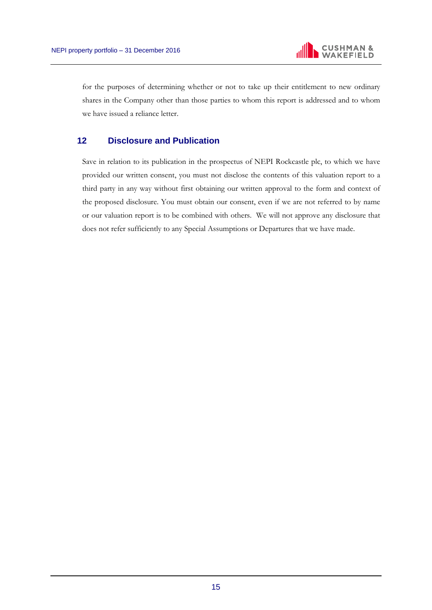

for the purposes of determining whether or not to take up their entitlement to new ordinary shares in the Company other than those parties to whom this report is addressed and to whom we have issued a reliance letter.

## **12 Disclosure and Publication**

Save in relation to its publication in the prospectus of NEPI Rockcastle plc, to which we have provided our written consent, you must not disclose the contents of this valuation report to a third party in any way without first obtaining our written approval to the form and context of the proposed disclosure. You must obtain our consent, even if we are not referred to by name or our valuation report is to be combined with others. We will not approve any disclosure that does not refer sufficiently to any Special Assumptions or Departures that we have made.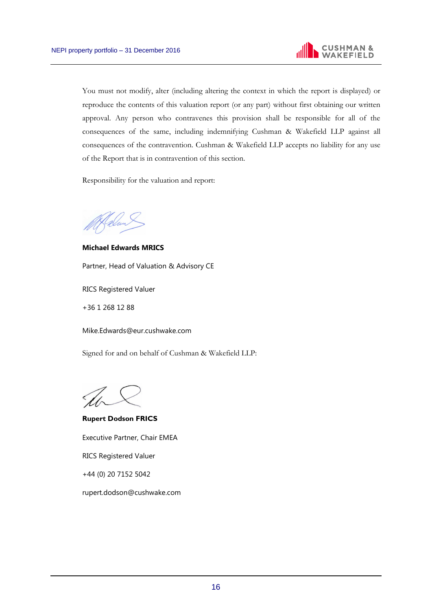

You must not modify, alter (including altering the context in which the report is displayed) or reproduce the contents of this valuation report (or any part) without first obtaining our written approval. Any person who contravenes this provision shall be responsible for all of the consequences of the same, including indemnifying Cushman & Wakefield LLP against all consequences of the contravention. Cushman & Wakefield LLP accepts no liability for any use of the Report that is in contravention of this section.

Responsibility for the valuation and report:

**Michael Edwards MRICS** 

Partner, Head of Valuation & Advisory CE

RICS Registered Valuer

+36 1 268 12 88

Mike.Edwards@eur.cushwake.com

Signed for and on behalf of Cushman & Wakefield LLP:

**Rupert Dodson FRICS**  Executive Partner, Chair EMEA RICS Registered Valuer +44 (0) 20 7152 5042 [rupert.dodson@cushwake.com](mailto:rupert.dodson@cushwake.com)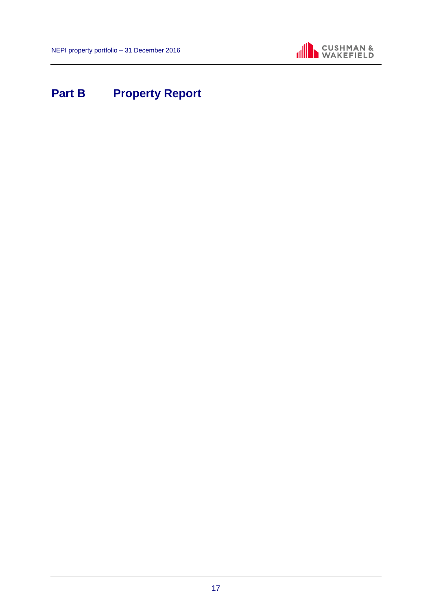

# **Part B** Property Report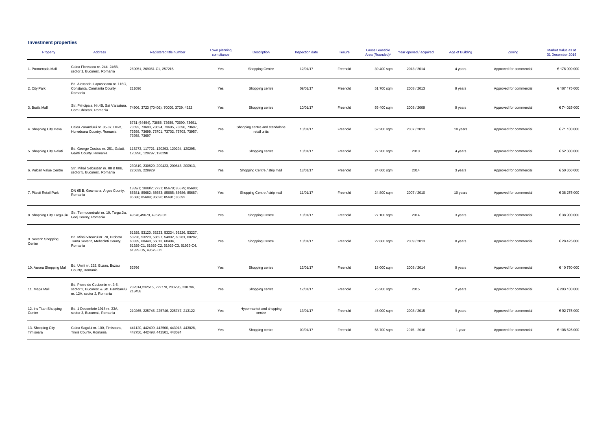| Property                          | <b>Address</b>                                                                                          | Registered title number                                                                                                                                                                | Town planning<br>compliance | <b>Description</b>                             | Inspection date | Tenure   | <b>Gross Leasable</b><br>Area (Rounded)* | Year opened / acquired | Age of Building | Zoning                  | Market Value as at<br>31 December 2016 |
|-----------------------------------|---------------------------------------------------------------------------------------------------------|----------------------------------------------------------------------------------------------------------------------------------------------------------------------------------------|-----------------------------|------------------------------------------------|-----------------|----------|------------------------------------------|------------------------|-----------------|-------------------------|----------------------------------------|
| 1. Promenada Mall                 | Calea Floreasca nr. 244 -246B.<br>sector 1, Bucuresti, Romania                                          | 269051, 269051-C1, 257215                                                                                                                                                              | Yes                         | Shopping Centre                                | 12/01/17        | Freehold | 39 400 sqm                               | 2013 / 2014            | 4 years         | Approved for commercial | € 176 000 000                          |
| 2. City Park                      | Bd. Alexandru Lapusneanu nr. 116C,<br>Constanta, Constanta County,<br>Romania                           | 211096                                                                                                                                                                                 | Yes                         | Shopping centre                                | 09/01/17        | Freehold | 51 700 sqm                               | 2008 / 2013            | 9 years         | Approved for commercial | € 167 175 000                          |
| 3. Braila Mall                    | Com.Chiscani, Romania                                                                                   | Str. Principala, Nr.4B, Sat Varsatura, 74906, 3723 (70402), 70000, 3729, 4522                                                                                                          | Yes                         | Shopping centre                                | 10/01/17        | Freehold | 55 400 sqm                               | 2008 / 2009            | 9 years         | Approved for commercial | €74 025 000                            |
| 4. Shopping City Deva             | Calea Zarandului nr. 85-87, Deva,<br>Hunedoara Country, Romania                                         | 6751 (64494), 73688, 73689, 73690, 73691,<br>73692, 73693, 73694, 73695, 73696, 73697,<br>73698, 73699, 73701, 73702, 73703, 73957,<br>73958, 73697                                    | Yes                         | Shopping centre and standalone<br>retail units | 10/01/17        | Freehold | 52 200 sqm                               | 2007 / 2013            | 10 years        | Approved for commercial | € 71 100 000                           |
| 5. Shopping City Galati           | Bd. George Cosbuc nr. 251, Galati,<br>Galati County, Romania                                            | 116273, 117721, 120293, 120294, 120295,<br>120296, 120297, 120298                                                                                                                      | Yes                         | Shopping centre                                | 10/01/17        | Freehold | 27 200 sqm                               | 2013                   | 4 years         | Approved for commercial | € 52 300 000                           |
| 6. Vulcan Value Centre            | Str. Mihail Sebastian nr. 88 & 88B,<br>sector 5, Bucuresti, Romania                                     | 230819, 230820, 200423, 200843, 200913,<br>226639, 228929                                                                                                                              | Yes                         | Shopping Centre / strip mall                   | 13/01/17        | Freehold | 24 600 sqm                               | 2014                   | 3 years         | Approved for commercial | € 50 850 000                           |
| 7. Pitesti Retail Park            | DN 65 B, Geamana, Arges County,<br>Romania                                                              | 1889/1; 1889/2; 2721; 85678; 85679; 85680;<br>85681; 85682; 85683; 85685; 85686; 85687;<br>85688; 85689; 85690; 85691; 85692                                                           | Yes                         | Shopping Centre / strip mall                   | 11/01/17        | Freehold | 24 800 sqm                               | 2007 / 2010            | 10 years        | Approved for commercial | €38 275 000                            |
| 8. Shopping City Targu Jiu        | Str. Termocentralei nr. 10, Targu Jiu, 49678,49679, 49679-C1<br>Gorj County, Romania                    |                                                                                                                                                                                        | Yes                         | Shopping Centre                                | 10/01/17        | Freehold | 27 100 sqm                               | 2014                   | 3 years         | Approved for commercial | € 38 900 000                           |
| 9. Severin Shopping<br>Center     | Bd. Mihai Viteazul nr. 78, Drobeta<br>Turnu Severin, Mehedinti County,<br>Romania                       | 61929, 53120, 53223, 53224, 53226, 53227,<br>53228, 53229, 53697, 54802, 60281, 60282,<br>60339, 60440, 55013, 60494,<br>61929-C1, 61929-C2, 61929-C3, 61929-C4,<br>61929-C5, 49679-C1 | Yes                         | Shopping Centre                                | 10/01/17        | Freehold | 22 600 sqm                               | 2009 / 2013            | 8 years         | Approved for commercial | € 28 425 000                           |
| 10. Aurora Shopping Mall          | Bd. Unirii nr. 232, Buzau, Buzau<br>County, Romania                                                     | 52766                                                                                                                                                                                  | Yes                         | Shopping centre                                | 12/01/17        | Freehold | 18 000 sqm                               | 2008 / 2014            | 9 years         | Approved for commercial | € 10 750 000                           |
| 11. Mega Mall                     | Bd. Pierre de Coubertin nr. 3-5,<br>sector 2, Bucuresti & Str. Hambarului<br>nr. 12A, sector 2, Romania | 232514,232515, 222778, 230795, 230796,<br>218458                                                                                                                                       | Yes                         | Shopping centre                                | 12/01/17        | Freehold | 75 200 sqm                               | 2015                   | 2 years         | Approved for commercial | € 283 100 000                          |
| 12. Iris Titan Shopping<br>Center | Bd. 1 Decembrie 1918 nr. 33A,<br>sector 3, Bucuresti, Romania                                           | 210265, 225745, 225746, 225747, 213122                                                                                                                                                 | Yes                         | Hypermarket and shopping<br>centre             | 13/01/17        | Freehold | 45 000 sqm                               | 2008 / 2015            | 9 years         | Approved for commercial | €92 775 000                            |
| 13. Shopping City<br>Timisoara    | Calea Sagului nr. 100, Timisoara,<br>Timis County, Romania                                              | 441120, 442499, 442500, 443013, 443028,<br>442756, 442498, 442501, 443024                                                                                                              | Yes                         | Shopping centre                                | 09/01/17        | Freehold | 56 700 sqm                               | 2015 - 2016            | 1 year          | Approved for commercial | € 108 625 000                          |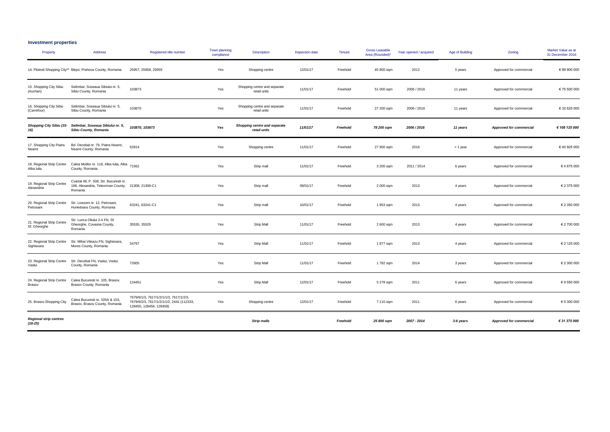| Property                                   | Address                                                                                                 | Registered title number                                                                                         | Town planning<br>compliance | <b>Description</b>                           | Inspection date | Tenure   | <b>Gross Leasable</b><br>Area (Rounded)* | Year opened / acquired | Age of Building | Zoning                         | Market Value as at<br>31 December 2016 |
|--------------------------------------------|---------------------------------------------------------------------------------------------------------|-----------------------------------------------------------------------------------------------------------------|-----------------------------|----------------------------------------------|-----------------|----------|------------------------------------------|------------------------|-----------------|--------------------------------|----------------------------------------|
|                                            | 14. Ploiesti Shopping City** Blejoi, Prahova County, Romania                                            | 25957, 25958, 25959                                                                                             | Yes                         | Shopping centre                              | 12/01/17        | Freehold | 45 800 sqm                               | 2012                   | 5 years         | Approved for commercial        | € 89 900 000                           |
| 15. Shopping City Sibiu<br>(Auchan)        | Selimbar, Soseaua Sibiului nr. 5,<br>Sibiu County, Romania                                              | 103873                                                                                                          | Yes                         | Shopping centre and separate<br>retail units | 11/01/17        | Freehold | 51 000 sqm                               | 2006 / 2016            | 11 years        | Approved for commercial        | €75 500 000                            |
| 16. Shopping City Sibiu<br>(Carrefour)     | Selimbar, Soseaua Sibiului nr. 5,<br>Sibiu County, Romania                                              | 103870                                                                                                          | Yes                         | Shopping centre and separate<br>retail units | 11/01/17        | Freehold | 27 200 sqm                               | 2006 / 2016            | 11 years        | Approved for commercial        | € 32 625 000                           |
| Shopping City Sibiu (15-<br>16)            | Selimbar, Soseaua Sibiului nr. 5,<br>Sibiu County, Romania                                              | 103870, 103873                                                                                                  | Yes                         | Shopping centre and separate<br>retail units | 11/01/17        | Freehold | 78 200 sqm                               | 2006/2016              | 11 years        | <b>Approved for commercial</b> | € 108 125 000                          |
| 17. Shopping City Piatra<br>Neamt          | Bd. Decebal nr. 79, Piatra Neamt,<br>Neamt County, Romania                                              | 62814                                                                                                           | Yes                         | Shopping centre                              | 11/01/17        | Freehold | 27 900 sqm                               | 2016                   | < 1 year        | Approved for commercial        | €40925000                              |
| 18. Regional Strip Centre<br>Alba Iulia    | Calea Motilor nr. 118, Alba Iulia, Alba 71562<br>County, Romania                                        |                                                                                                                 | Yes                         | Strip mall                                   | 11/01/17        | Freehold | 3 200 sqm                                | 2011 / 2014            | 6 years         | Approved for commercial        | €4675000                               |
| 19. Regional Strip Centre<br>Alexandria    | Cvartal 48, P. 508, Str. Bucuresti nr.<br>168, Alexandria, Teleorman County, 21308, 21308-C1<br>Romania |                                                                                                                 | Yes                         | Strip mall                                   | 09/01/17        | Freehold | 2 000 sqm                                | 2013                   | 4 years         | Approved for commercial        | € 2 375 000                            |
| 20. Regional Strip Centre<br>Petrosani     | Str. Livezeni nr. 12, Petrosani,<br>Hunedoara County, Romania                                           | 63241, 63241-C1                                                                                                 | Yes                         | Strip mall                                   | 10/01/17        | Freehold | 1 953 sqm                                | 2013                   | 4 years         | Approved for commercial        | € 2 350 000                            |
| 21. Regional Strip Centre<br>Sf. Gheorghe  | Str. Lunca Oltului 2-4 FN, Sf.<br>Gheorghe, Covasna County,<br>Romania                                  | 35530, 35529                                                                                                    | Yes                         | Strip Mall                                   | 11/01/17        | Freehold | 2 600 sqm                                | 2013                   | 4 years         | Approved for commercial        | € 2 700 000                            |
| 22. Regional Strip Centre<br>Sighisoara    | Str. Mihai Viteazu FN, Sighisoara,<br>Mures County, Romania                                             | 54797                                                                                                           | Yes                         | Strip Mall                                   | 11/01/17        | Freehold | 1 877 sqm                                | 2013                   | 4 years         | Approved for commercial        | € 2 125 000                            |
| 23. Regional Strip Centre<br>Vaslui        | Str. Decebal FN, Vaslui, Vaslui<br>County, Romania                                                      | 72605                                                                                                           | Yes                         | Strip Mall                                   | 11/01/17        | Freehold | 1 782 sqm                                | 2014                   | 3 years         | Approved for commercial        | € 2 300 000                            |
| 24. Regional Strip Centre<br>Brasov        | Calea Bucuresti nr. 105, Brasov,<br>Brasov County, Romania                                              | 124451                                                                                                          | Yes                         | Strip Mall                                   | 12/01/17        | Freehold | 5 278 sqm                                | 2011                   | 6 years         | Approved for commercial        | € 9 550 000                            |
| 25. Brasov Shopping City                   | Calea Bucuresti nr. 105A & 103,<br>Brasov, Brasov County, Romania                                       | 7679/6/1/3, 7617/1/2/1/1/3, 7617/1/2/3,<br>7679/6/2/3, 7617/1/2/1/1/2, 2441 (112333,<br>128455, 128456, 128458) | Yes                         | Shopping centre                              | 12/01/17        | Freehold | 7 110 sqm                                | 2011                   | 6 years         | Approved for commercial        | € 5 300 000                            |
| <b>Regional strip centres</b><br>$(18-25)$ |                                                                                                         |                                                                                                                 |                             | <b>Strip malls</b>                           |                 | Freehold | 25 800 sqm                               | 2007 - 2014            | 3-6 years       | <b>Approved for commercial</b> | € 31 375 000                           |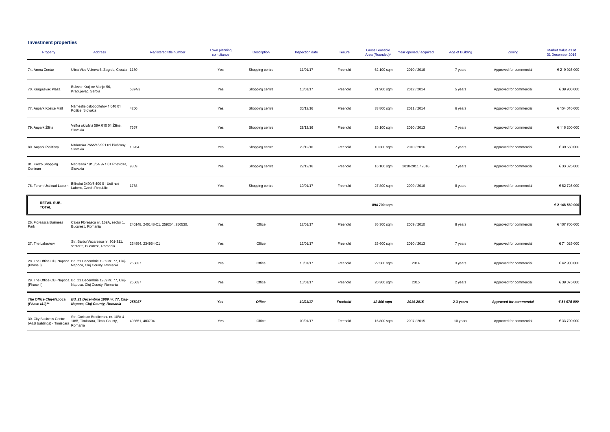| Property                                                             | <b>Address</b>                                                                                       | Registered title number                                                | Town planning<br>compliance | <b>Description</b> | Inspection date | Tenure   | <b>Gross Leasable</b><br>Area (Rounded)* | Year opened / acquired | Age of Building | Zoning                         | Market Value as at<br>31 December 2016 |
|----------------------------------------------------------------------|------------------------------------------------------------------------------------------------------|------------------------------------------------------------------------|-----------------------------|--------------------|-----------------|----------|------------------------------------------|------------------------|-----------------|--------------------------------|----------------------------------------|
| 74. Arena Centar                                                     | Ulica Vice Vukova 6, Zagreb, Croatia 1180                                                            |                                                                        | Yes                         | Shopping centre    | 11/01/17        | Freehold | 62 100 sqm                               | 2010 / 2016            | 7 years         | Approved for commercial        | € 219 925 000                          |
| 70. Kragujevac Plaza                                                 | Bulevar Kraljice Marije 56,<br>Kragujevac, Serbia                                                    | 5374/3                                                                 | Yes                         | Shopping centre    | 10/01/17        | Freehold | 21 900 sqm                               | 2012 / 2014            | 5 years         | Approved for commercial        | € 39 900 000                           |
| 77. Aupark Kosice Mall                                               | Námestie osloboditeľov 1 040 01<br>Košice, Slovakia                                                  | 4260                                                                   | Yes                         | Shopping centre    | 30/12/16        | Freehold | 33 800 sqm                               | 2011 / 2014            | 6 years         | Approved for commercial        | € 154 010 000                          |
| 79. Aupark Žilina                                                    | Veľká okružná 59A 010 01 Žilina,<br>Slovakia                                                         | 7657                                                                   | Yes                         | Shopping centre    | 29/12/16        | Freehold | 25 100 sqm                               | 2010 / 2013            | 7 years         | Approved for commercial        | € 116 200 000                          |
| 80. Aupark Piešťany                                                  | Nitrianska 7555/18 921 01 Piešťany,<br>Slovakia                                                      | 10284                                                                  | Yes                         | Shopping centre    | 29/12/16        | Freehold | 10 300 sqm                               | 2010 / 2016            | 7 years         | Approved for commercial        | € 39 550 000                           |
| 81. Korzo Shopping<br>Centrum                                        | Nábrežná 1913/5A 971 01 Prievidza, 9309<br>Slovakia                                                  |                                                                        | Yes                         | Shopping centre    | 29/12/16        | Freehold | 16 100 sqm                               | 2010-2011 / 2016       | 7 years         | Approved for commercial        | € 33 625 000                           |
| 76. Forum Usti nad Labem                                             | Bílinská 3490/6 400 01 Usti nad<br>Labem, Czech Republic                                             | 1788                                                                   | Yes                         | Shopping centre    | 10/01/17        | Freehold | 27 800 sqm                               | 2009 / 2016            | 8 years         | Approved for commercial        | € 82 725 000                           |
| <b>RETAIL SUB-</b><br><b>TOTAL</b>                                   |                                                                                                      |                                                                        |                             |                    |                 |          | 894 700 sqm                              |                        |                 |                                | € 2 148 560 000                        |
| 26. Floreasca Business<br>Park                                       | Bucuresti, Romania                                                                                   | Calea Floreasca nr. 169A, sector 1, 240148, 240148-C1, 259264, 250530, | Yes                         | Office             | 12/01/17        | Freehold | 36 300 sqm                               | 2009 / 2010            | 8 years         | Approved for commercial        | € 107 700 000                          |
| 27. The Lakeview                                                     | Str. Barbu Vacarescu nr. 301-311,<br>sector 2, Bucuresti, Romania                                    | 234954, 234954-C1                                                      | Yes                         | Office             | 12/01/17        | Freehold | 25 600 sqm                               | 2010 / 2013            | 7 years         | Approved for commercial        | € 71 025 000                           |
| (Phase I)                                                            | 28. The Office Cluj-Napoca Bd. 21 Decembrie 1989 nr. 77, Cluj-255037<br>Napoca, Cluj County, Romania |                                                                        | Yes                         | Office             | 10/01/17        | Freehold | 22 500 sqm                               | 2014                   | 3 years         | Approved for commercial        | €42 900 000                            |
| (Phase II)                                                           | 29. The Office Cluj-Napoca Bd. 21 Decembrie 1989 nr. 77, Cluj-<br>Napoca, Cluj County, Romania       | 255037                                                                 | Yes                         | Office             | 10/01/17        | Freehold | 20 300 sqm                               | 2015                   | 2 years         | Approved for commercial        | € 39 075 000                           |
| The Office Cluj-Napoca<br>(Phase I&II)**                             | Bd. 21 Decembrie 1989 nr. 77, Cluj- 255037<br>Napoca, Cluj County, Romania                           |                                                                        | Yes                         | Office             | 10/01/17        | Freehold | 42 800 sqm                               | 2014-2015              | 2-3 years       | <b>Approved for commercial</b> | € 81 975 000                           |
| 30. City Business Centre<br>(A&B buildings) - Timisoara (Virb. 1991) | Str. Coriolan Brediceanu nr. 10/A &<br>10/B, Timisoara, Timis County,                                | 403651, 403794                                                         | Yes                         | Office             | 09/01/17        | Freehold | 16 800 sqm                               | 2007 / 2015            | 10 years        | Approved for commercial        | € 33 700 000                           |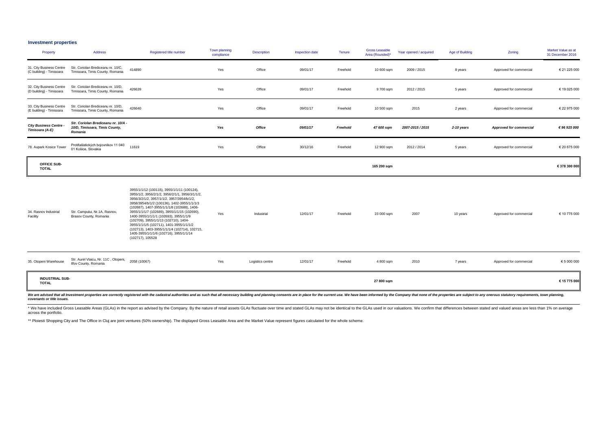| Property                                             | <b>Address</b>                                                                   | Registered title number                                                                                                                                                                                                                                                                                                                                                                                                                                                                                                                   | Town planning<br>compliance | <b>Description</b> | Inspection date | Tenure   | <b>Gross Leasable</b><br>Area (Rounded)* | Year opened / acquired | Age of Building | Zoning                  | Market Value as at<br>31 December 2016 |
|------------------------------------------------------|----------------------------------------------------------------------------------|-------------------------------------------------------------------------------------------------------------------------------------------------------------------------------------------------------------------------------------------------------------------------------------------------------------------------------------------------------------------------------------------------------------------------------------------------------------------------------------------------------------------------------------------|-----------------------------|--------------------|-----------------|----------|------------------------------------------|------------------------|-----------------|-------------------------|----------------------------------------|
| 31. City Business Centre<br>(C building) - Timisoara | Str. Coriolan Brediceanu nr. 10/C,<br>Timisoara, Timis County, Romania           | 414890                                                                                                                                                                                                                                                                                                                                                                                                                                                                                                                                    | Yes                         | Office             | 09/01/17        | Freehold | 10 600 sqm                               | 2009 / 2015            | 8 years         | Approved for commercial | € 21 225 000                           |
| 32. City Business Centre<br>(D building) - Timisoara | Str. Coriolan Brediceanu nr. 10/D,<br>Timisoara, Timis County, Romania           | 426639                                                                                                                                                                                                                                                                                                                                                                                                                                                                                                                                    | Yes                         | Office             | 09/01/17        | Freehold | 9 700 sqm                                | 2012 / 2015            | 5 years         | Approved for commercial | € 19 025 000                           |
| 33. City Business Centre<br>(E building) - Timisoara | Str. Coriolan Brediceanu nr. 10/D,<br>Timisoara, Timis County, Romania           | 426640                                                                                                                                                                                                                                                                                                                                                                                                                                                                                                                                    | Yes                         | Office             | 09/01/17        | Freehold | 10 500 sqm                               | 2015                   | 2 years         | Approved for commercial | € 22 975 000                           |
| <b>City Business Centre -</b><br>Timisoara (A-E)     | Str. Coriolan Brediceanu nr. 10/A -<br>10/D, Timisoara, Timis County,<br>Romania |                                                                                                                                                                                                                                                                                                                                                                                                                                                                                                                                           | Yes                         | Office             | 09/01/17        | Freehold | 47 600 sqm                               | 2007-2015 / 2015       | 2-10 years      | Approved for commercial | € 96 925 000                           |
| 78. Aupark Kosice Tower                              | Protifašistických bojovníkov 11 040<br>01 Košice, Slovakia                       | 11619                                                                                                                                                                                                                                                                                                                                                                                                                                                                                                                                     | Yes                         | Office             | 30/12/16        | Freehold | 12 900 sqm                               | 2012 / 2014            | 5 years         | Approved for commercial | € 20 675 000                           |
| OFFICE SUB-<br><b>TOTAL</b>                          |                                                                                  |                                                                                                                                                                                                                                                                                                                                                                                                                                                                                                                                           |                             |                    |                 |          | 165 200 sqm                              |                        |                 |                         | € 378 300 000                          |
| 34. Rasnov Industrial<br>Facility                    | Str. Campului, Nr.1A, Rasnov,<br>Brasov County, Romania                          | 3955/1/1/12 (100115), 3955/1/1/11 (100124),<br>3955/1/2, 3956/2/1/2, 3956/2/1/1, 3956/3/1/1/2,<br>3956/3/2/1/2, 3957/1/1/2, 3957/3954/b/1/2,<br>3958/3954/b/1/2 (100136), 1402-3955/1/1/1/3<br>(102687), 1407-3955/1/1/1/8 (102688), 1406-<br>3955/1/1/1/7 (102689), 3955/1/1/15 (102690),<br>1400-3955/1/1/1/1 (102693), 3955/1/1/9<br>(102709), 3955/1/1/13 (102710), 1404-<br>3955/1/1/1/5 (102711), 1401-3955/1/1/1/2<br>(102713), 1403-3955/1/1/1/4 (102714), 102715,<br>1405-3955/1/1/1/6 (102716), 3955/1/1/14<br>(102717), 105528 | Yes                         | Industrial         | 12/01/17        | Freehold | 23 000 sqm                               | 2007                   | 10 years        | Approved for commercial | € 10 775 000                           |
| 35. Otopeni Warehouse                                | Str. Aurel Vlaicu, Nr. 11C, Otopeni,<br>Ilfov County, Romania                    | 2058 (10067)                                                                                                                                                                                                                                                                                                                                                                                                                                                                                                                              | Yes                         | Logistics centre   | 12/01/17        | Freehold | 4 800 sqm                                | 2010                   | 7 years         | Approved for commercial | € 5 000 000                            |
| <b>INDUSTRIAL SUB-</b><br><b>TOTAL</b>               |                                                                                  |                                                                                                                                                                                                                                                                                                                                                                                                                                                                                                                                           |                             |                    |                 |          | 27 800 sqm                               |                        |                 |                         | € 15 775 000                           |

We are advised that all Investment properties are correctly registered with the cadastral authorities and as such that all necessary building and planning consents are in place for the current use. We have been informed by

\* We have included Gross Leasable Areas (GLAs) in the report as advised by the Company. By the nature of retail assets GLAs fluctuate over time and stated GLAs may not be identical to the GLAs used in our valuations. We co across the portfolio.

\*\* Ploiesti Shopping City and The Office in Cluj are joint ventures (50% ownership). The displayed Gross Leasable Area and the Market Value represent figures calculated for the whole scheme.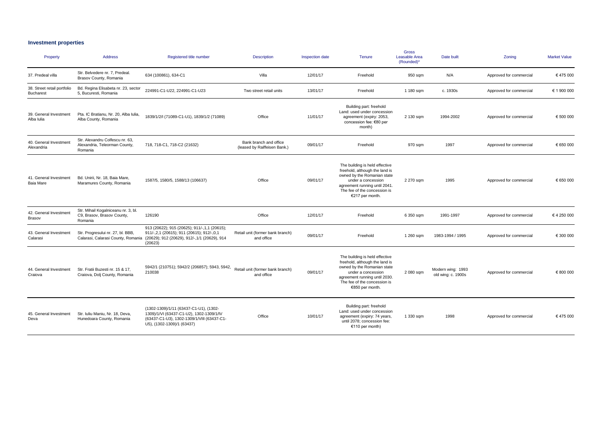| Property                                 | <b>Address</b>                                                               | Registered title number                                                                                                                                                                  | <b>Description</b>                                     | Inspection date | Tenure                                                                                                                                                                                                    | <b>Gross</b><br>Leasable Area<br>(Rounded)* | Date built                              | Zoning                  | <b>Market Value</b> |
|------------------------------------------|------------------------------------------------------------------------------|------------------------------------------------------------------------------------------------------------------------------------------------------------------------------------------|--------------------------------------------------------|-----------------|-----------------------------------------------------------------------------------------------------------------------------------------------------------------------------------------------------------|---------------------------------------------|-----------------------------------------|-------------------------|---------------------|
| 37. Predeal villa                        | Str. Belvedere nr. 7, Predeal.<br>Brasov County, Romania                     | 634 (100861), 634-C1                                                                                                                                                                     | Villa                                                  | 12/01/17        | Freehold                                                                                                                                                                                                  | 950 sqm                                     | N/A                                     | Approved for commercial | €475000             |
| 38. Street retail portfolio<br>Bucharest | Bd. Regina Elisabeta nr. 23, sector<br>5. Bucuresti, Romania                 | 224991-C1-U22, 224991-C1-U23                                                                                                                                                             | Two street retail units                                | 13/01/17        | Freehold                                                                                                                                                                                                  | 1 180 sqm                                   | c. 1930s                                | Approved for commercial | € 1 900 000         |
| 39. General Investment<br>Alba Iulia     | Pta. IC Bratianu, Nr. 20, Alba Iulia,<br>Alba County, Romania                | 1839/1/2/l (71089-C1-U1), 1839/1/2 (71089)                                                                                                                                               | Office                                                 | 11/01/17        | Building part: freehold<br>Land: used under concession<br>agreement (expiry: 2053,<br>concession fee: €80 per<br>month)                                                                                   | 2 130 sqm                                   | 1994-2002                               | Approved for commercial | € 500 000           |
| 40. General Investment<br>Alexandria     | Str. Alexandru Colfescu nr. 63,<br>Alexandria, Teleorman County,<br>Romania  | 718, 718-C1, 718-C2 (21632)                                                                                                                                                              | Bank branch and office<br>(leased by Raiffeisen Bank.) | 09/01/17        | Freehold                                                                                                                                                                                                  | 970 sqm                                     | 1997                                    | Approved for commercial | € 650 000           |
| 41. General Investment<br>Baia Mare      | Bd. Unirii, Nr. 18, Baia Mare,<br>Maramures County, Romania                  | 1587/5, 1580/5, 1588/13 (106637)                                                                                                                                                         | Office                                                 | 09/01/17        | The building is held effective<br>freehold, although the land is<br>owned by the Romanian state<br>under a concession<br>agreement running until 2041.<br>The fee of the concession is<br>€217 per month. | 2 270 sqm                                   | 1995                                    | Approved for commercial | € 650 000           |
| 42. General Investment<br>Brasov         | Str. Mihail Kogalniceanu nr. 3, bl.<br>C9, Brasov, Brasov County,<br>Romania | 126190                                                                                                                                                                                   | Office                                                 | 12/01/17        | Freehold                                                                                                                                                                                                  | 6 350 sqm                                   | 1991-1997                               | Approved for commercial | €4 250 000          |
| 43. General Investment<br>Calarasi       | Str. Progresului nr. 27, bl. BBB,                                            | 913 (20622); 915 (20625); 911/-,1,1 (20615);<br>911/-,2,1 (20615); 911 (20615); 912/-,0,1<br>Calarasi, Calarasi County, Romania (20629); 912 (20629), 912/-, 1/1 (20629), 914<br>(20623) | Retail unit (former bank branch)<br>and office         | 09/01/17        | Freehold                                                                                                                                                                                                  | 1 260 sqm                                   | 1983-1994 / 1995                        | Approved for commercial | € 300 000           |
| 44. General Investment<br>Craiova        | Str. Fratii Buzesti nr. 15 & 17.<br>Craiova, Dolj County, Romania            | 5942/1 (210751); 5942/2 (206857); 5943, 5942,<br>210038                                                                                                                                  | Retail unit (former bank branch)<br>and office         | 09/01/17        | The building is held effective<br>freehold, although the land is<br>owned by the Romanian state<br>under a concession<br>agreement running until 2030.<br>The fee of the concession is<br>€850 per month. | 2 080 sqm                                   | Modern wing: 1993<br>old wing: c. 1900s | Approved for commercial | € 800 000           |
| 45. General Investment<br>Deva           | Str. Iuliu Maniu, Nr. 18, Deva,<br>Hunedoara County, Romania                 | (1302-1309)/1/11 (63437-C1-U1), (1302-<br>1309)/1/VI (63437-C1-U2), 1302-1309/1/IV<br>(63437-C1-U3), 1302-1309/1/VIII (63437-C1-<br>U5), (1302-1309)/1 (63437)                           | Office                                                 | 10/01/17        | Building part: freehold<br>Land: used under concession<br>agreement (expiry: 74 years,<br>until 2078; concession fee:<br>€110 per month)                                                                  | 1 330 sqm                                   | 1998                                    | Approved for commercial | €475000             |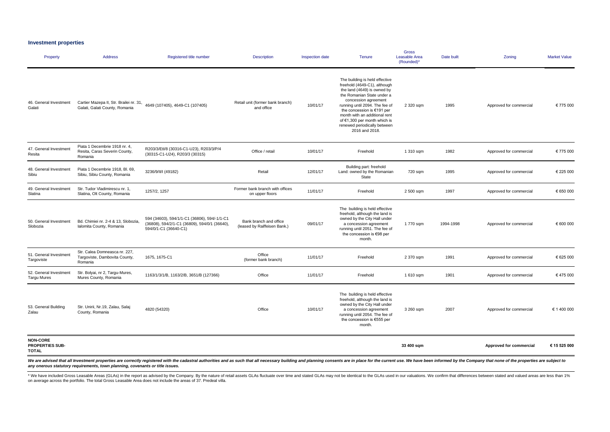| Property                                                  | <b>Address</b>                                                            | Registered title number                                                                                                | <b>Description</b>                                     | Inspection date | <b>Tenure</b>                                                                                                                                                                                                                                                                                                                          | <b>Gross</b><br>Leasable Area<br>(Rounded)* | Date built | Zoning                  | <b>Market Value</b> |
|-----------------------------------------------------------|---------------------------------------------------------------------------|------------------------------------------------------------------------------------------------------------------------|--------------------------------------------------------|-----------------|----------------------------------------------------------------------------------------------------------------------------------------------------------------------------------------------------------------------------------------------------------------------------------------------------------------------------------------|---------------------------------------------|------------|-------------------------|---------------------|
| 46. General Investment<br>Galati                          | Galati, Galati County, Romania                                            | Cartier Mazepa II, Str. Brailei nr. 31, 4649 (107405), 4649-C1 (107405)                                                | Retail unit (former bank branch)<br>and office         | 10/01/17        | The building is held effective<br>freehold (4649-C1), although<br>the land (4649) is owned by<br>the Romanian State under a<br>concession agreement<br>running until 2094. The fee of<br>the concession is €191 per<br>month with an additional rent<br>of €1,300 per month which is<br>renewed periodically between<br>2016 and 2018. | 2 320 sqm                                   | 1995       | Approved for commercial | € 775 000           |
| 47. General Investment<br>Resita                          | Piata 1 Decembrie 1918 nr. 4,<br>Resita, Caras Severin County,<br>Romania | R203/3/Etl/8 (30316-C1-U23), R203/3/P/4<br>(30315-C1-U24), R203/3 (30315)                                              | Office / retail                                        | 10/01/17        | Freehold                                                                                                                                                                                                                                                                                                                               | 1 310 sqm                                   | 1982       | Approved for commercial | € 775 000           |
| 48. General Investment<br>Sibiu                           | Piata 1 Decembrie 1918, Bl. 69,<br>Sibiu, Sibiu County, Romania           | 3236/9/II/I (49182)                                                                                                    | Retail                                                 | 12/01/17        | Building part: freehold<br>Land: owned by the Romanian<br>State                                                                                                                                                                                                                                                                        | 720 sqm                                     | 1995       | Approved for commercial | € 225 000           |
| 49. General Investment<br>Slatina                         | Str. Tudor Vladimirescu nr. 1,<br>Slatina, Olt County, Romania            | 1257/2, 1257                                                                                                           | Former bank branch with offices<br>on upper floors     | 11/01/17        | Freehold                                                                                                                                                                                                                                                                                                                               | 2 500 sqm                                   | 1997       | Approved for commercial | € 650 000           |
| 50. General Investment<br>Slobozia                        | Bd. Chimiei nr. 2-4 & 13, Slobozia,<br>Ialomita County, Romania           | 594 (34603), 594/1/1-C1 (36806), 594/-1/1-C1<br>(36808), 594/2/1-C1 (36809), 594/0/1 (36640),<br>594/0/1-C1 (36640-C1) | Bank branch and office<br>(leased by Raiffeisen Bank.) | 09/01/17        | The building is held effective<br>freehold, although the land is<br>owned by the City Hall under<br>a concession agreement<br>running until 2051. The fee of<br>the concession is €98 per<br>month.                                                                                                                                    | 1770 sqm                                    | 1994-1998  | Approved for commercial | € 600 000           |
| 51. General Investment<br>Targoviste                      | Str. Calea Domneasca nr. 227,<br>Targoviste, Dambovita County,<br>Romania | 1675, 1675-C1                                                                                                          | Office<br>(former bank branch)                         | 11/01/17        | Freehold                                                                                                                                                                                                                                                                                                                               | 2 370 sqm                                   | 1991       | Approved for commercial | € 625 000           |
| 52. General Investment<br><b>Targu Mures</b>              | Str. Bolyai, nr 2, Targu-Mures,<br>Mures County, Romania                  | 1163/1/3/1/B, 1163/2/B, 3651/B (127366)                                                                                | Office                                                 | 11/01/17        | Freehold                                                                                                                                                                                                                                                                                                                               | 1 610 sqm                                   | 1901       | Approved for commercial | €475000             |
| 53. General Building<br>Zalau                             | Str. Unirii, Nr.19, Zalau, Salaj<br>County, Romania                       | 4820 (54320)                                                                                                           | Office                                                 | 10/01/17        | The building is held effective<br>freehold, although the land is<br>owned by the City Hall under<br>a concession agreement<br>running until 2054. The fee of<br>the concession is €555 per<br>month.                                                                                                                                   | 3 260 sqm                                   | 2007       | Approved for commercial | € 1 400 000         |
| <b>NON-CORE</b><br><b>PROPERTIES SUB-</b><br><b>TOTAL</b> |                                                                           |                                                                                                                        |                                                        |                 |                                                                                                                                                                                                                                                                                                                                        | 33 400 sqm                                  |            | Approved for commercial | € 15 525 000        |

ssary building and planning consents are in place for the current use. We have been informed by the Company that none of the properties are subje *any onerous statutory requirements, town planning, covenants or title issues.*

\* We have included Gross Leasable Areas (GLAs) in the report as advised by the Company. By the nature of retail assets GLAs fluctuate over time and stated GLAs may not be identical to the GLAs used in our valuations. We co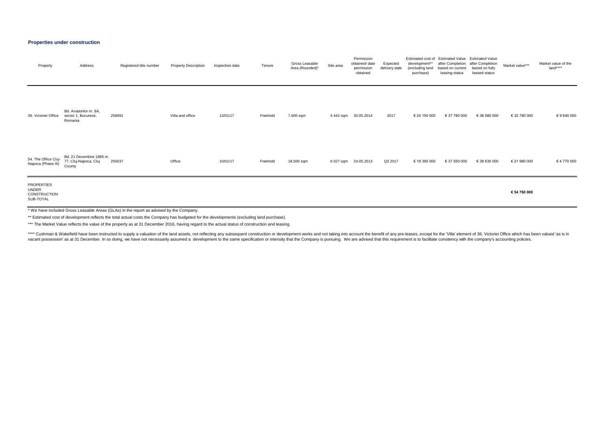#### **Properties under construction**

| Property                                                | Address                                                      | Registered title number                                                                 | <b>Property Description</b> | Inspection date | Tenure   | Gross Leasable<br>Area (Rounded)* | Site area | Permission<br>obtained/ date<br>permission<br>obtained | Expected<br>delivery date | development**<br>(excluding land<br>purchase) | Estimated cost of Estimated Value Estimated Value<br>after Completion after Completion<br>based on current<br>leasing status | based on fully<br>leased status | Market value*** | Market value of the<br>land**** |
|---------------------------------------------------------|--------------------------------------------------------------|-----------------------------------------------------------------------------------------|-----------------------------|-----------------|----------|-----------------------------------|-----------|--------------------------------------------------------|---------------------------|-----------------------------------------------|------------------------------------------------------------------------------------------------------------------------------|---------------------------------|-----------------|---------------------------------|
| 36. Victoriei Office                                    | Bd. Aviatorilor nr. 8A,<br>sector 1, Bucuresti,<br>Romania   | 258991                                                                                  | Villa and office            | 13/01/17        | Freehold | 7,600 sqm                         |           | 4 442 sqm 30.05.2014                                   | 2017                      | € 24 150 000                                  | € 37 780 000                                                                                                                 | € 38 580 000                    | € 32 780 000    | € 9 640 000                     |
| 54. The Office Cluj-<br>Napoca (Phase III)              | Bd. 21 Decembrie 1989 nr.<br>77, Cluj-Napoca, Cluj<br>County | 255037                                                                                  | Office                      | 10/01/17        | Freehold | 18,500 sqm                        |           | 6 027 sqm 24.05.2013                                   | Q3 2017                   | € 18 395 000                                  | € 37 550 000                                                                                                                 | € 38 630 000                    | € 21 980 000    | €4770000                        |
| PROPERTIES<br><b>UNDER</b><br>CONSTRUCTION<br>SUB-TOTAL |                                                              |                                                                                         |                             |                 |          |                                   |           |                                                        |                           |                                               |                                                                                                                              |                                 | € 54 760 000    |                                 |
|                                                         |                                                              | * We have included Gross Leasable Areas (GLAs) in the report as advised by the Company. |                             |                 |          |                                   |           |                                                        |                           |                                               |                                                                                                                              |                                 |                 |                                 |

\*\* Estimated cost of development reflects the total actual costs the Company has budgeted for the developments (excluding land purchase).

\*\*\* The Market Value reflects the value of the property as at 31 December 2016, having regard to the actual status of construction and leasing.

\*\*\*\* Cushman & Wakefield have been instructed to supply a valuation of the land assets, not reflecting any subsequent construction or development works and not taking into account the benefit of any pre-leases, except for vacant possession' as at 31 December. In so doing, we have not necessarily assumed a development to the same specification or intensity that the Company is pursuing. We are advised that this requirement is to facilitate co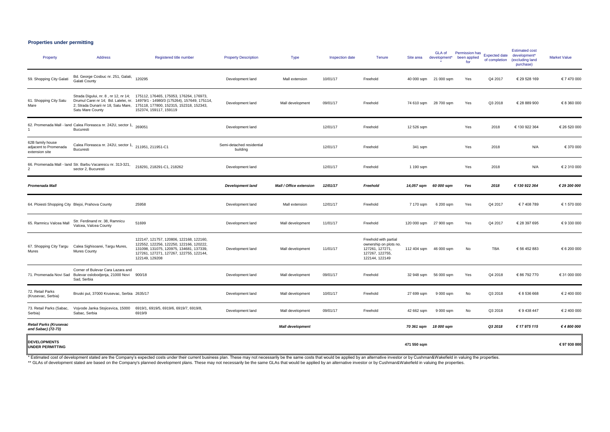#### **Properties under permitting**

| Property                                                    | Address                                                                                                                                 | Registered title number                                                                                                                                                                    | <b>Property Description</b>           | <b>Type</b>             | Inspection date | Tenure                                                                                                  | Site area   | GLA of<br>development* | Permission has<br>been applied<br>for | <b>Expected date</b><br>of completion | <b>Estimated cost</b><br>development*<br>(excluding land<br>purchase) | <b>Market Value</b> |
|-------------------------------------------------------------|-----------------------------------------------------------------------------------------------------------------------------------------|--------------------------------------------------------------------------------------------------------------------------------------------------------------------------------------------|---------------------------------------|-------------------------|-----------------|---------------------------------------------------------------------------------------------------------|-------------|------------------------|---------------------------------------|---------------------------------------|-----------------------------------------------------------------------|---------------------|
| 59. Shopping City Galati                                    | Bd. George Cosbuc nr. 251, Galati,<br>Galati County                                                                                     | 120295                                                                                                                                                                                     | Development land                      | Mall extension          | 10/01/17        | Freehold                                                                                                | 40 000 sqm  | 21 000 sqm             | Yes                                   | Q4 2017                               | € 29 528 169                                                          | € 7 470 000         |
| 61. Shopping City Satu<br>Mare                              | Strada Digului, nr. 8, nr 12, nr 14;<br>Drumul Carei nr 14; Bd. Lalelei, nr.<br>2; Strada Dunarii nr 18, Satu Mare,<br>Satu Mare County | 175112, 176465, 175053, 176264, 176973,<br>14979/1 - 14980/3 (175264), 157649, 175114,<br>175118, 177800, 152315, 152318, 152343,<br>152374, 159117, 159119                                | Development land                      | Mall development        | 09/01/17        | Freehold                                                                                                |             | 74 610 sqm 28 700 sqm  | Yes                                   | Q3 2018                               | € 28 889 900                                                          | € 8 360 000         |
|                                                             | 62. Promenada Mall - land Calea Floreasca nr. 242U, sector 1, 269051<br>Bucuresti                                                       |                                                                                                                                                                                            | Development land                      |                         | 12/01/17        | Freehold                                                                                                | 12 526 sqm  |                        | Yes                                   | 2018                                  | € 130 922 364                                                         | € 26 520 000        |
| 62B family house<br>adjacent to Promenada<br>extension site | Calea Floreasca nr. 242U, sector 1, 211951, 211951-C1<br>Bucuresti                                                                      |                                                                                                                                                                                            | Semi-detached residential<br>building |                         | 12/01/17        | Freehold                                                                                                | 341 sqm     |                        | Yes                                   | 2018                                  | N/A                                                                   | € 370 000           |
|                                                             | 66. Promenada Mall - land Str. Barbu Vacarescu nr. 313-321,<br>sector 2, Bucuresti                                                      | 218291.218291-C1.218262                                                                                                                                                                    | Development land                      |                         | 12/01/17        | Freehold                                                                                                | 1 190 sqm   |                        | Yes                                   | 2018                                  | N/A                                                                   | € 2 310 000         |
| Promenada Mall                                              |                                                                                                                                         |                                                                                                                                                                                            | <b>Development land</b>               | Mall / Office extension | 12/01/17        | Freehold                                                                                                | 14,057 sqm  | 60 000 sqm             | Yes                                   | 2018                                  | € 130 922 364                                                         | € 29 200 000        |
| 64. Ploiesti Shopping City Blejoi, Prahova County           |                                                                                                                                         | 25958                                                                                                                                                                                      | Development land                      | Mall extension          | 12/01/17        | Freehold                                                                                                | 7 170 sqm   | 6 200 sqm              | Yes                                   | Q4 2017                               | € 7 408 789                                                           | € 1 570 000         |
| 65. Ramnicu Valcea Mall                                     | Str. Ferdinand nr. 38, Ramnicu<br>Valcea, Valcea County                                                                                 | 51699                                                                                                                                                                                      | Development land                      | Mall development        | 11/01/17        | Freehold                                                                                                | 120 000 sqm | 27 900 sqm             | Yes                                   | Q4 2017                               | € 28 397 695                                                          | €9330000            |
| 67. Shopping City Targu<br>Mures                            | Calea Sighisoarei, Targu Mures,<br><b>Mures County</b>                                                                                  | 122147, 121757, 120806, 122168, 122160,<br>122552, 122256, 122250, 122166, 120222,<br>131098, 131075, 120975, 134681, 137339,<br>127261, 127271, 127267, 122755, 122144,<br>122149, 129208 | Development land                      | Mall development        | 11/01/17        | Freehold with partial<br>ownership on plots no.<br>127261, 127271,<br>127267, 122755,<br>122144, 122149 |             | 112 404 sqm 46 000 sqm | No                                    | TBA                                   | € 56 452 883                                                          | € 6 200 000         |
| 71. Promenada Novi Sad                                      | Corner of Bulevar Cara Lazara and<br>Bulevar oslobodjenja, 21000 Novi<br>Sad, Serbia                                                    | 900/18                                                                                                                                                                                     | Development land                      | Mall development        | 09/01/17        | Freehold                                                                                                | 32 948 sqm  | 56 000 sqm             | Yes                                   | Q4 2018                               | € 86 792 770                                                          | € 31 000 000        |
| 72. Retail Parks<br>(Krusevac, Serbia)                      | Bruski put, 37000 Krusevac, Serbia 2635/17                                                                                              |                                                                                                                                                                                            | Development land                      | Mall development        | 10/01/17        | Freehold                                                                                                | 27 699 sqm  | 9 000 sqm              | No                                    | Q3 2018                               | € 8 536 668                                                           | € 2 400 000         |
| 73. Retail Parks (Sabac,<br>Serbia)                         | Vojvode Janka Stojicevica, 15000<br>Sabac, Serbia                                                                                       | 6919/1, 6919/5, 6919/6, 6919/7, 6919/8,<br>6919/9                                                                                                                                          | Development land                      | Mall development        | 09/01/17        | Freehold                                                                                                | 42 662 sqm  | 9 000 sqm              | No                                    | Q3 2018                               | €9438447                                                              | € 2 400 000         |
| <b>Retail Parks (Krusevac</b><br>and Sabac) (72-73)         |                                                                                                                                         |                                                                                                                                                                                            |                                       | <b>Mall development</b> |                 |                                                                                                         | 70 361 sqm  | 18 000 sqm             |                                       | Q3 2018                               | € 17 975 115                                                          | € 4 800 000         |
| <b>DEVELOPMENTS</b><br><b>UNDER PERMITTING</b>              |                                                                                                                                         |                                                                                                                                                                                            |                                       |                         |                 |                                                                                                         | 471 550 sqm |                        |                                       |                                       |                                                                       | € 97 930 000        |

\* Estimated cost of development stated are the Company's expected costs under their current business plan. These may not necessarily be the same costs that would be applied by an alternative investor or by Cushman&Wakefiel